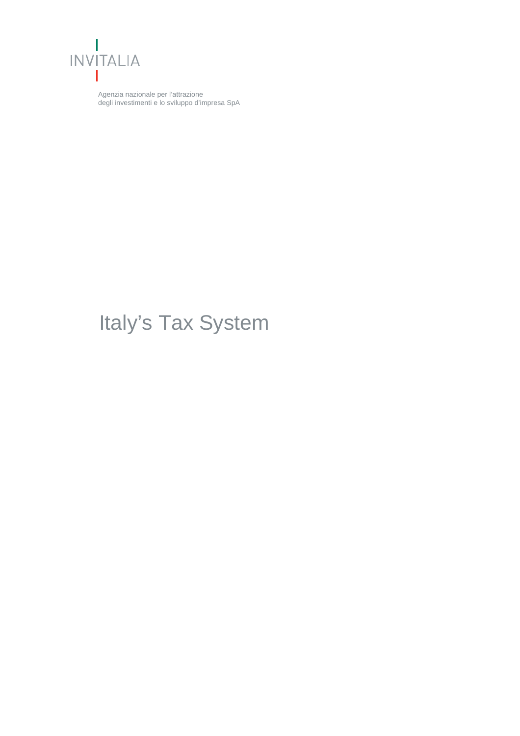

Agenzia nazionale per l'attrazione degli investimenti e lo sviluppo d'impresa SpA

# Italy's Tax System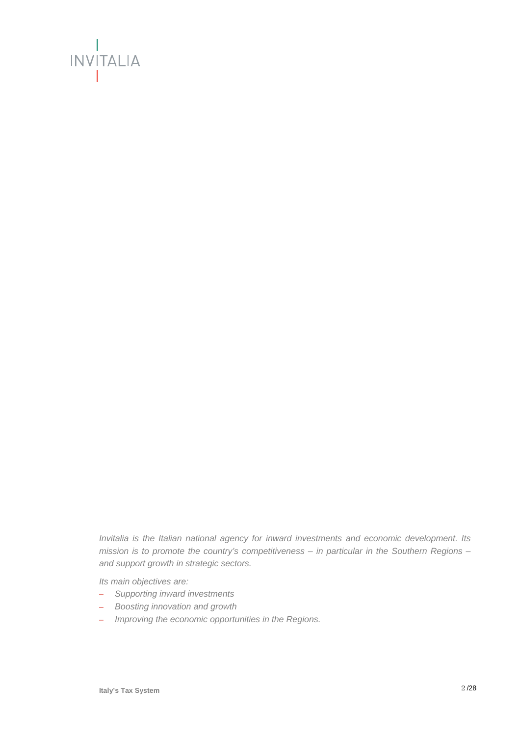

*Invitalia is the Italian national agency for inward investments and economic development. Its mission is to promote the country's competitiveness – in particular in the Southern Regions – and support growth in strategic sectors.* 

*Its main objectives are:* 

- *Supporting inward investments*
- *Boosting innovation and growth*
- *Improving the economic opportunities in the Regions.*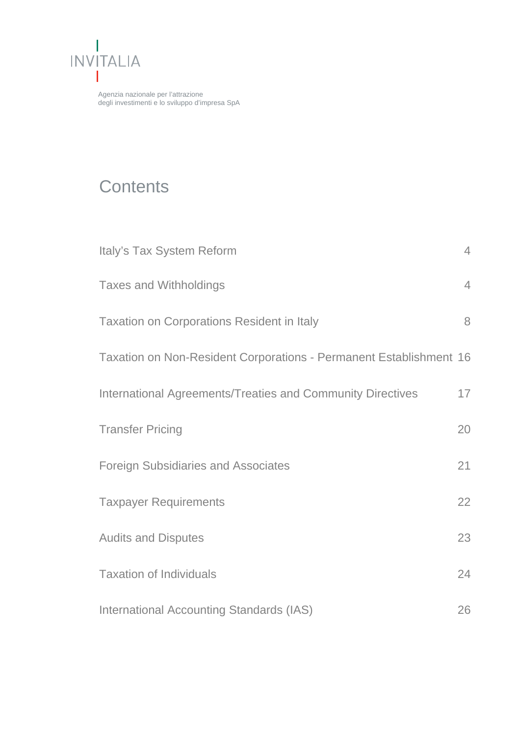

Agenzia nazionale per l'attrazione degli investimenti e lo sviluppo d'impresa SpA

# **Contents**

| Italy's Tax System Reform                                          | $\overline{4}$ |
|--------------------------------------------------------------------|----------------|
| <b>Taxes and Withholdings</b>                                      | $\overline{4}$ |
| <b>Taxation on Corporations Resident in Italy</b>                  | 8              |
| Taxation on Non-Resident Corporations - Permanent Establishment 16 |                |
| <b>International Agreements/Treaties and Community Directives</b>  | 17             |
| <b>Transfer Pricing</b>                                            | 20             |
| <b>Foreign Subsidiaries and Associates</b>                         | 21             |
| <b>Taxpayer Requirements</b>                                       | 22             |
| <b>Audits and Disputes</b>                                         | 23             |
| <b>Taxation of Individuals</b>                                     | 24             |
| <b>International Accounting Standards (IAS)</b>                    | 26             |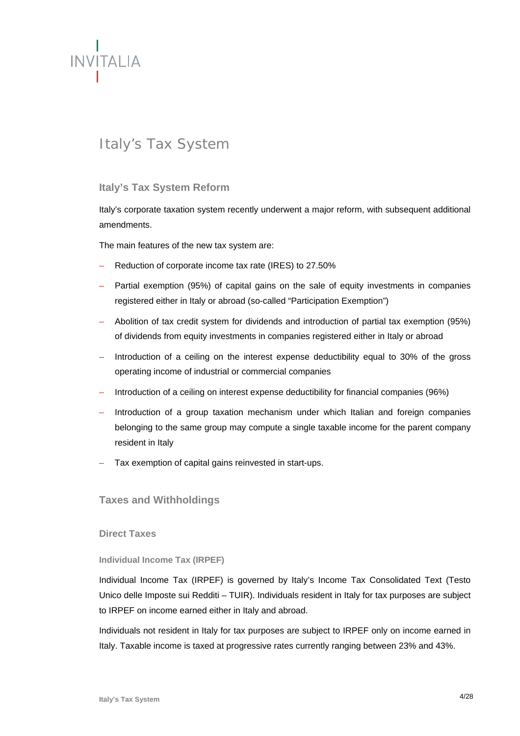

# Italy's Tax System

# **Italy's Tax System Reform**

Italy's corporate taxation system recently underwent a major reform, with subsequent additional amendments.

The main features of the new tax system are:

- Reduction of corporate income tax rate (IRES) to 27.50%
- Partial exemption (95%) of capital gains on the sale of equity investments in companies registered either in Italy or abroad (so-called "Participation Exemption")
- Abolition of tax credit system for dividends and introduction of partial tax exemption (95%) of dividends from equity investments in companies registered either in Italy or abroad
- Introduction of a ceiling on the interest expense deductibility equal to 30% of the gross operating income of industrial or commercial companies
- Introduction of a ceiling on interest expense deductibility for financial companies (96%)
- Introduction of a group taxation mechanism under which Italian and foreign companies belonging to the same group may compute a single taxable income for the parent company resident in Italy
- Tax exemption of capital gains reinvested in start-ups.

#### **Taxes and Withholdings**

**Direct Taxes** 

**Individual Income Tax (IRPEF)**

Individual Income Tax (IRPEF) is governed by Italy's Income Tax Consolidated Text (Testo Unico delle Imposte sui Redditi – TUIR). Individuals resident in Italy for tax purposes are subject to IRPEF on income earned either in Italy and abroad.

Individuals not resident in Italy for tax purposes are subject to IRPEF only on income earned in Italy. Taxable income is taxed at progressive rates currently ranging between 23% and 43%.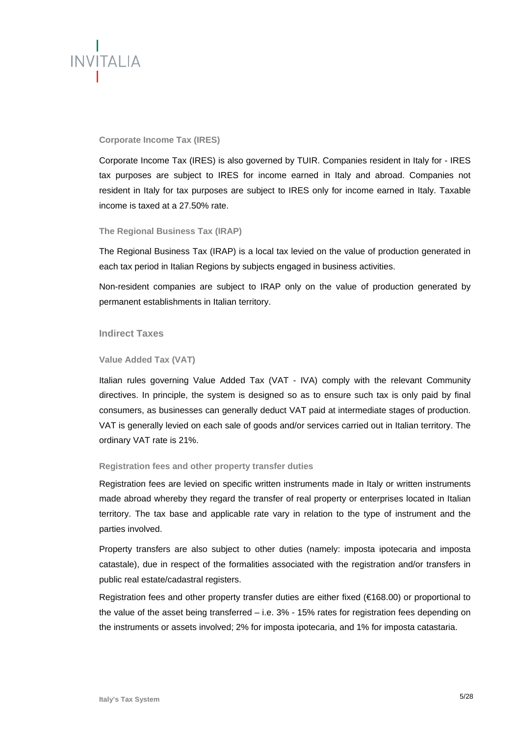

#### **Corporate Income Tax (IRES)**

Corporate Income Tax (IRES) is also governed by TUIR. Companies resident in Italy for - IRES tax purposes are subject to IRES for income earned in Italy and abroad. Companies not resident in Italy for tax purposes are subject to IRES only for income earned in Italy. Taxable income is taxed at a 27.50% rate.

#### **The Regional Business Tax (IRAP)**

The Regional Business Tax (IRAP) is a local tax levied on the value of production generated in each tax period in Italian Regions by subjects engaged in business activities.

Non-resident companies are subject to IRAP only on the value of production generated by permanent establishments in Italian territory.

#### **Indirect Taxes**

#### **Value Added Tax (VAT)**

Italian rules governing Value Added Tax (VAT - IVA) comply with the relevant Community directives. In principle, the system is designed so as to ensure such tax is only paid by final consumers, as businesses can generally deduct VAT paid at intermediate stages of production. VAT is generally levied on each sale of goods and/or services carried out in Italian territory. The ordinary VAT rate is 21%.

#### **Registration fees and other property transfer duties**

Registration fees are levied on specific written instruments made in Italy or written instruments made abroad whereby they regard the transfer of real property or enterprises located in Italian territory. The tax base and applicable rate vary in relation to the type of instrument and the parties involved.

Property transfers are also subject to other duties (namely: imposta ipotecaria and imposta catastale), due in respect of the formalities associated with the registration and/or transfers in public real estate/cadastral registers.

Registration fees and other property transfer duties are either fixed (€168.00) or proportional to the value of the asset being transferred – i.e. 3% - 15% rates for registration fees depending on the instruments or assets involved; 2% for imposta ipotecaria, and 1% for imposta catastaria.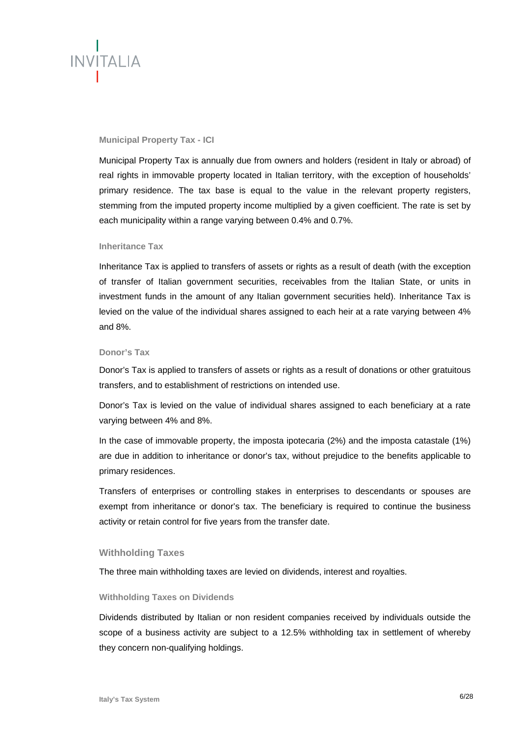

#### **Municipal Property Tax - ICI**

Municipal Property Tax is annually due from owners and holders (resident in Italy or abroad) of real rights in immovable property located in Italian territory, with the exception of households' primary residence. The tax base is equal to the value in the relevant property registers, stemming from the imputed property income multiplied by a given coefficient. The rate is set by each municipality within a range varying between 0.4% and 0.7%.

#### **Inheritance Tax**

Inheritance Tax is applied to transfers of assets or rights as a result of death (with the exception of transfer of Italian government securities, receivables from the Italian State, or units in investment funds in the amount of any Italian government securities held). Inheritance Tax is levied on the value of the individual shares assigned to each heir at a rate varying between 4% and 8%.

#### **Donor's Tax**

Donor's Tax is applied to transfers of assets or rights as a result of donations or other gratuitous transfers, and to establishment of restrictions on intended use.

Donor's Tax is levied on the value of individual shares assigned to each beneficiary at a rate varying between 4% and 8%.

In the case of immovable property, the imposta ipotecaria (2%) and the imposta catastale (1%) are due in addition to inheritance or donor's tax, without prejudice to the benefits applicable to primary residences.

Transfers of enterprises or controlling stakes in enterprises to descendants or spouses are exempt from inheritance or donor's tax. The beneficiary is required to continue the business activity or retain control for five years from the transfer date.

#### **Withholding Taxes**

The three main withholding taxes are levied on dividends, interest and royalties.

#### **Withholding Taxes on Dividends**

Dividends distributed by Italian or non resident companies received by individuals outside the scope of a business activity are subject to a 12.5% withholding tax in settlement of whereby they concern non-qualifying holdings.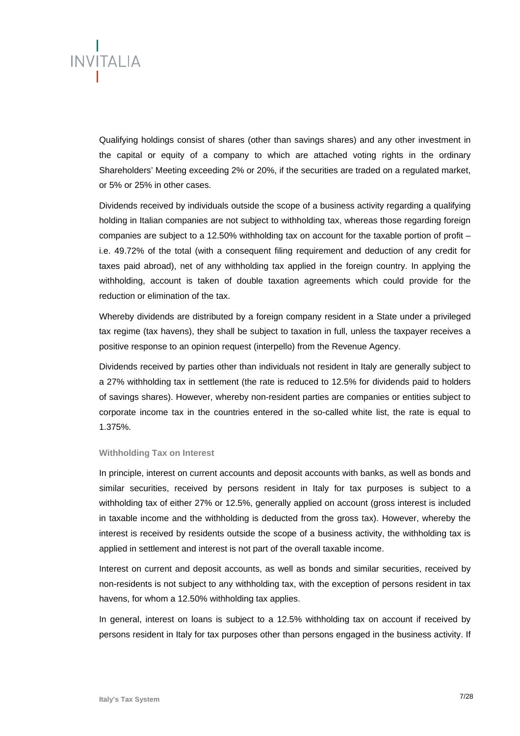

Qualifying holdings consist of shares (other than savings shares) and any other investment in the capital or equity of a company to which are attached voting rights in the ordinary Shareholders' Meeting exceeding 2% or 20%, if the securities are traded on a regulated market, or 5% or 25% in other cases.

Dividends received by individuals outside the scope of a business activity regarding a qualifying holding in Italian companies are not subject to withholding tax, whereas those regarding foreign companies are subject to a 12.50% withholding tax on account for the taxable portion of profit  $$ i.e. 49.72% of the total (with a consequent filing requirement and deduction of any credit for taxes paid abroad), net of any withholding tax applied in the foreign country. In applying the withholding, account is taken of double taxation agreements which could provide for the reduction or elimination of the tax.

Whereby dividends are distributed by a foreign company resident in a State under a privileged tax regime (tax havens), they shall be subject to taxation in full, unless the taxpayer receives a positive response to an opinion request (interpello) from the Revenue Agency.

Dividends received by parties other than individuals not resident in Italy are generally subject to a 27% withholding tax in settlement (the rate is reduced to 12.5% for dividends paid to holders of savings shares). However, whereby non-resident parties are companies or entities subject to corporate income tax in the countries entered in the so-called white list, the rate is equal to 1.375%.

#### **Withholding Tax on Interest**

In principle, interest on current accounts and deposit accounts with banks, as well as bonds and similar securities, received by persons resident in Italy for tax purposes is subject to a withholding tax of either 27% or 12.5%, generally applied on account (gross interest is included in taxable income and the withholding is deducted from the gross tax). However, whereby the interest is received by residents outside the scope of a business activity, the withholding tax is applied in settlement and interest is not part of the overall taxable income.

Interest on current and deposit accounts, as well as bonds and similar securities, received by non-residents is not subject to any withholding tax, with the exception of persons resident in tax havens, for whom a 12.50% withholding tax applies.

In general, interest on loans is subject to a 12.5% withholding tax on account if received by persons resident in Italy for tax purposes other than persons engaged in the business activity. If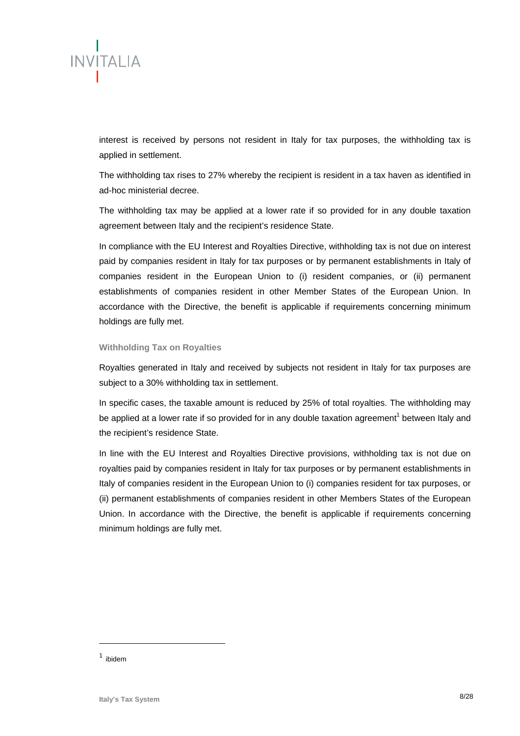

interest is received by persons not resident in Italy for tax purposes, the withholding tax is applied in settlement.

The withholding tax rises to 27% whereby the recipient is resident in a tax haven as identified in ad-hoc ministerial decree.

The withholding tax may be applied at a lower rate if so provided for in any double taxation agreement between Italy and the recipient's residence State.

In compliance with the EU Interest and Royalties Directive, withholding tax is not due on interest paid by companies resident in Italy for tax purposes or by permanent establishments in Italy of companies resident in the European Union to (i) resident companies, or (ii) permanent establishments of companies resident in other Member States of the European Union. In accordance with the Directive, the benefit is applicable if requirements concerning minimum holdings are fully met.

#### **Withholding Tax on Royalties**

Royalties generated in Italy and received by subjects not resident in Italy for tax purposes are subject to a 30% withholding tax in settlement.

In specific cases, the taxable amount is reduced by 25% of total royalties. The withholding may be applied at a lower rate if so provided for in any double taxation agreement<sup>1</sup> between Italy and the recipient's residence State.

In line with the EU Interest and Royalties Directive provisions, withholding tax is not due on royalties paid by companies resident in Italy for tax purposes or by permanent establishments in Italy of companies resident in the European Union to (i) companies resident for tax purposes, or (ii) permanent establishments of companies resident in other Members States of the European Union. In accordance with the Directive, the benefit is applicable if requirements concerning minimum holdings are fully met.

 $1$  ibidem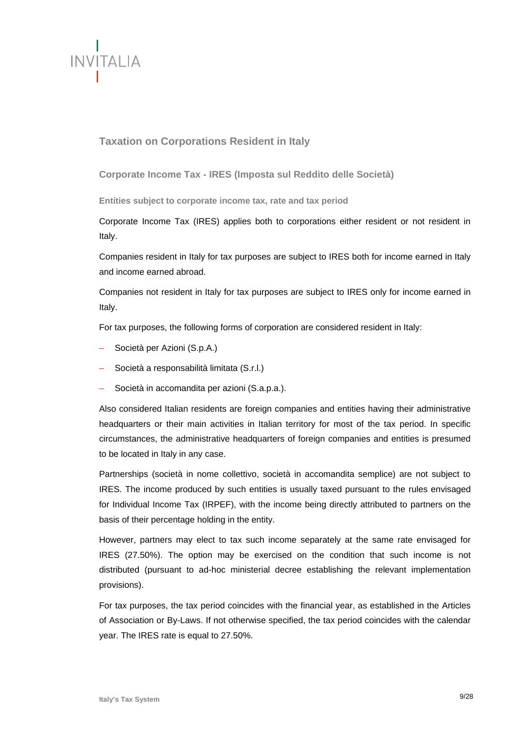

# **Taxation on Corporations Resident in Italy**

**Corporate Income Tax - IRES (Imposta sul Reddito delle Società)** 

**Entities subject to corporate income tax, rate and tax period** 

Corporate Income Tax (IRES) applies both to corporations either resident or not resident in Italy.

Companies resident in Italy for tax purposes are subject to IRES both for income earned in Italy and income earned abroad.

Companies not resident in Italy for tax purposes are subject to IRES only for income earned in Italy.

For tax purposes, the following forms of corporation are considered resident in Italy:

- Società per Azioni (S.p.A.)
- Società a responsabilità limitata (S.r.l.)
- Società in accomandita per azioni (S.a.p.a.).

Also considered Italian residents are foreign companies and entities having their administrative headquarters or their main activities in Italian territory for most of the tax period. In specific circumstances, the administrative headquarters of foreign companies and entities is presumed to be located in Italy in any case.

Partnerships (società in nome collettivo, società in accomandita semplice) are not subject to IRES. The income produced by such entities is usually taxed pursuant to the rules envisaged for Individual Income Tax (IRPEF), with the income being directly attributed to partners on the basis of their percentage holding in the entity.

However, partners may elect to tax such income separately at the same rate envisaged for IRES (27.50%). The option may be exercised on the condition that such income is not distributed (pursuant to ad-hoc ministerial decree establishing the relevant implementation provisions).

For tax purposes, the tax period coincides with the financial year, as established in the Articles of Association or By-Laws. If not otherwise specified, the tax period coincides with the calendar year. The IRES rate is equal to 27.50%.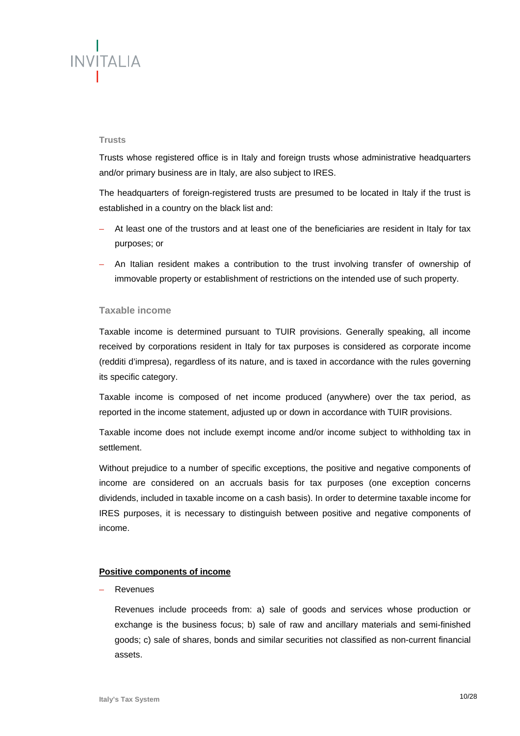# **INVITALIA**

#### **Trusts**

Trusts whose registered office is in Italy and foreign trusts whose administrative headquarters and/or primary business are in Italy, are also subject to IRES.

The headquarters of foreign-registered trusts are presumed to be located in Italy if the trust is established in a country on the black list and:

- At least one of the trustors and at least one of the beneficiaries are resident in Italy for tax purposes; or
- An Italian resident makes a contribution to the trust involving transfer of ownership of immovable property or establishment of restrictions on the intended use of such property.

## **Taxable income**

Taxable income is determined pursuant to TUIR provisions. Generally speaking, all income received by corporations resident in Italy for tax purposes is considered as corporate income (redditi d'impresa), regardless of its nature, and is taxed in accordance with the rules governing its specific category.

Taxable income is composed of net income produced (anywhere) over the tax period, as reported in the income statement, adjusted up or down in accordance with TUIR provisions.

Taxable income does not include exempt income and/or income subject to withholding tax in settlement.

Without prejudice to a number of specific exceptions, the positive and negative components of income are considered on an accruals basis for tax purposes (one exception concerns dividends, included in taxable income on a cash basis). In order to determine taxable income for IRES purposes, it is necessary to distinguish between positive and negative components of income.

#### **Positive components of income**

**Revenues** 

Revenues include proceeds from: a) sale of goods and services whose production or exchange is the business focus; b) sale of raw and ancillary materials and semi-finished goods; c) sale of shares, bonds and similar securities not classified as non-current financial assets.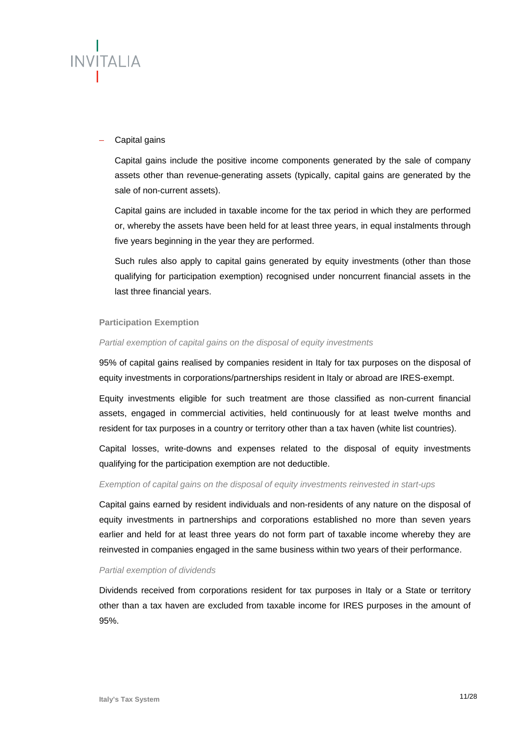

#### – Capital gains

Capital gains include the positive income components generated by the sale of company assets other than revenue-generating assets (typically, capital gains are generated by the sale of non-current assets).

Capital gains are included in taxable income for the tax period in which they are performed or, whereby the assets have been held for at least three years, in equal instalments through five years beginning in the year they are performed.

Such rules also apply to capital gains generated by equity investments (other than those qualifying for participation exemption) recognised under noncurrent financial assets in the last three financial years.

#### **Participation Exemption**

#### *Partial exemption of capital gains on the disposal of equity investments*

95% of capital gains realised by companies resident in Italy for tax purposes on the disposal of equity investments in corporations/partnerships resident in Italy or abroad are IRES-exempt.

Equity investments eligible for such treatment are those classified as non-current financial assets, engaged in commercial activities, held continuously for at least twelve months and resident for tax purposes in a country or territory other than a tax haven (white list countries).

Capital losses, write-downs and expenses related to the disposal of equity investments qualifying for the participation exemption are not deductible.

## *Exemption of capital gains on the disposal of equity investments reinvested in start-ups*

Capital gains earned by resident individuals and non-residents of any nature on the disposal of equity investments in partnerships and corporations established no more than seven years earlier and held for at least three years do not form part of taxable income whereby they are reinvested in companies engaged in the same business within two years of their performance.

#### *Partial exemption of dividends*

Dividends received from corporations resident for tax purposes in Italy or a State or territory other than a tax haven are excluded from taxable income for IRES purposes in the amount of 95%.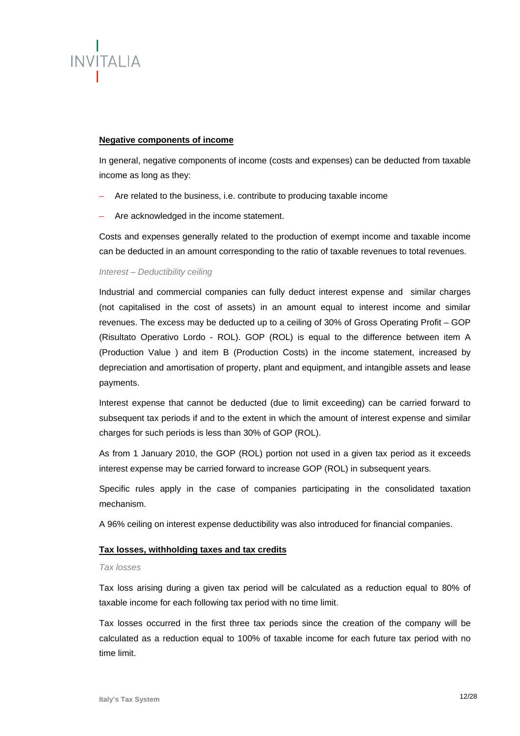

#### **Negative components of income**

In general, negative components of income (costs and expenses) can be deducted from taxable income as long as they:

- Are related to the business, i.e. contribute to producing taxable income
- Are acknowledged in the income statement.

Costs and expenses generally related to the production of exempt income and taxable income can be deducted in an amount corresponding to the ratio of taxable revenues to total revenues.

#### *Interest – Deductibility ceiling*

Industrial and commercial companies can fully deduct interest expense and similar charges (not capitalised in the cost of assets) in an amount equal to interest income and similar revenues. The excess may be deducted up to a ceiling of 30% of Gross Operating Profit – GOP (Risultato Operativo Lordo - ROL). GOP (ROL) is equal to the difference between item A (Production Value ) and item B (Production Costs) in the income statement, increased by depreciation and amortisation of property, plant and equipment, and intangible assets and lease payments.

Interest expense that cannot be deducted (due to limit exceeding) can be carried forward to subsequent tax periods if and to the extent in which the amount of interest expense and similar charges for such periods is less than 30% of GOP (ROL).

As from 1 January 2010, the GOP (ROL) portion not used in a given tax period as it exceeds interest expense may be carried forward to increase GOP (ROL) in subsequent years.

Specific rules apply in the case of companies participating in the consolidated taxation mechanism.

A 96% ceiling on interest expense deductibility was also introduced for financial companies.

#### **Tax losses, withholding taxes and tax credits**

#### *Tax losses*

Tax loss arising during a given tax period will be calculated as a reduction equal to 80% of taxable income for each following tax period with no time limit.

Tax losses occurred in the first three tax periods since the creation of the company will be calculated as a reduction equal to 100% of taxable income for each future tax period with no time limit.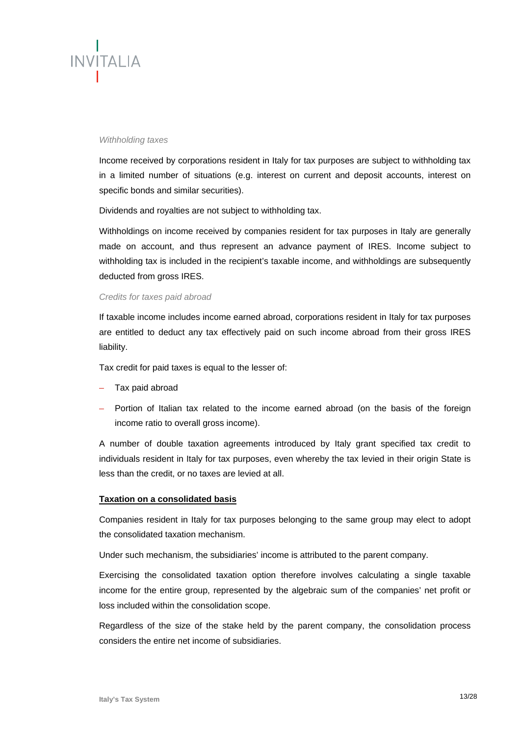

#### *Withholding taxes*

Income received by corporations resident in Italy for tax purposes are subject to withholding tax in a limited number of situations (e.g. interest on current and deposit accounts, interest on specific bonds and similar securities).

Dividends and royalties are not subject to withholding tax.

Withholdings on income received by companies resident for tax purposes in Italy are generally made on account, and thus represent an advance payment of IRES. Income subject to withholding tax is included in the recipient's taxable income, and withholdings are subsequently deducted from gross IRES.

#### *Credits for taxes paid abroad*

If taxable income includes income earned abroad, corporations resident in Italy for tax purposes are entitled to deduct any tax effectively paid on such income abroad from their gross IRES liability.

Tax credit for paid taxes is equal to the lesser of:

- Tax paid abroad
- Portion of Italian tax related to the income earned abroad (on the basis of the foreign income ratio to overall gross income).

A number of double taxation agreements introduced by Italy grant specified tax credit to individuals resident in Italy for tax purposes, even whereby the tax levied in their origin State is less than the credit, or no taxes are levied at all.

#### **Taxation on a consolidated basis**

Companies resident in Italy for tax purposes belonging to the same group may elect to adopt the consolidated taxation mechanism.

Under such mechanism, the subsidiaries' income is attributed to the parent company.

Exercising the consolidated taxation option therefore involves calculating a single taxable income for the entire group, represented by the algebraic sum of the companies' net profit or loss included within the consolidation scope.

Regardless of the size of the stake held by the parent company, the consolidation process considers the entire net income of subsidiaries.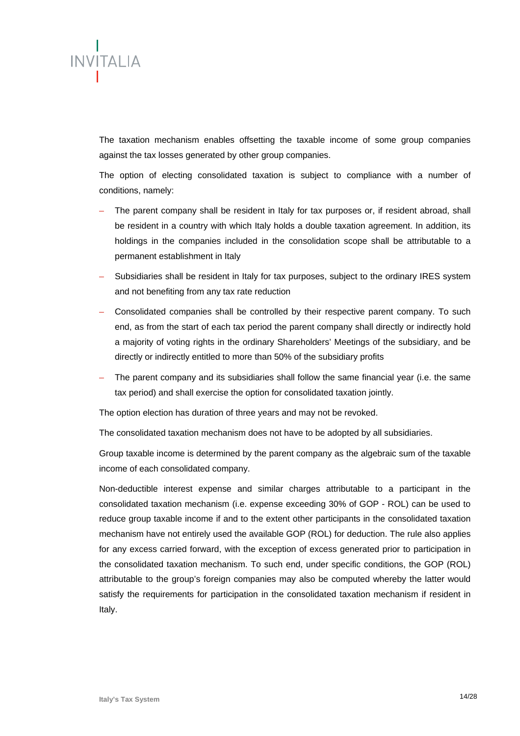

The taxation mechanism enables offsetting the taxable income of some group companies against the tax losses generated by other group companies.

The option of electing consolidated taxation is subject to compliance with a number of conditions, namely:

- The parent company shall be resident in Italy for tax purposes or, if resident abroad, shall be resident in a country with which Italy holds a double taxation agreement. In addition, its holdings in the companies included in the consolidation scope shall be attributable to a permanent establishment in Italy
- Subsidiaries shall be resident in Italy for tax purposes, subject to the ordinary IRES system and not benefiting from any tax rate reduction
- Consolidated companies shall be controlled by their respective parent company. To such end, as from the start of each tax period the parent company shall directly or indirectly hold a majority of voting rights in the ordinary Shareholders' Meetings of the subsidiary, and be directly or indirectly entitled to more than 50% of the subsidiary profits
- The parent company and its subsidiaries shall follow the same financial year (i.e. the same tax period) and shall exercise the option for consolidated taxation jointly.

The option election has duration of three years and may not be revoked.

The consolidated taxation mechanism does not have to be adopted by all subsidiaries.

Group taxable income is determined by the parent company as the algebraic sum of the taxable income of each consolidated company.

Non-deductible interest expense and similar charges attributable to a participant in the consolidated taxation mechanism (i.e. expense exceeding 30% of GOP - ROL) can be used to reduce group taxable income if and to the extent other participants in the consolidated taxation mechanism have not entirely used the available GOP (ROL) for deduction. The rule also applies for any excess carried forward, with the exception of excess generated prior to participation in the consolidated taxation mechanism. To such end, under specific conditions, the GOP (ROL) attributable to the group's foreign companies may also be computed whereby the latter would satisfy the requirements for participation in the consolidated taxation mechanism if resident in Italy.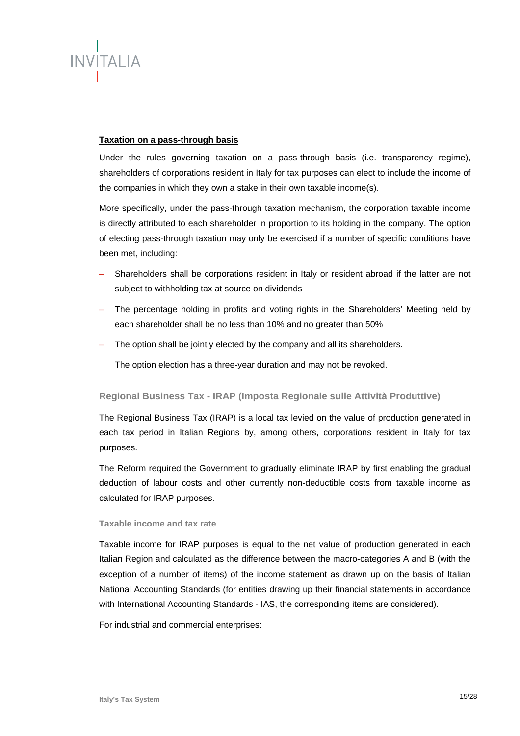

#### **Taxation on a pass-through basis**

Under the rules governing taxation on a pass-through basis (i.e. transparency regime), shareholders of corporations resident in Italy for tax purposes can elect to include the income of the companies in which they own a stake in their own taxable income(s).

More specifically, under the pass-through taxation mechanism, the corporation taxable income is directly attributed to each shareholder in proportion to its holding in the company. The option of electing pass-through taxation may only be exercised if a number of specific conditions have been met, including:

- Shareholders shall be corporations resident in Italy or resident abroad if the latter are not subject to withholding tax at source on dividends
- The percentage holding in profits and voting rights in the Shareholders' Meeting held by each shareholder shall be no less than 10% and no greater than 50%
- The option shall be jointly elected by the company and all its shareholders.

The option election has a three-year duration and may not be revoked.

#### **Regional Business Tax - IRAP (Imposta Regionale sulle Attività Produttive)**

The Regional Business Tax (IRAP) is a local tax levied on the value of production generated in each tax period in Italian Regions by, among others, corporations resident in Italy for tax purposes.

The Reform required the Government to gradually eliminate IRAP by first enabling the gradual deduction of labour costs and other currently non-deductible costs from taxable income as calculated for IRAP purposes.

#### **Taxable income and tax rate**

Taxable income for IRAP purposes is equal to the net value of production generated in each Italian Region and calculated as the difference between the macro-categories A and B (with the exception of a number of items) of the income statement as drawn up on the basis of Italian National Accounting Standards (for entities drawing up their financial statements in accordance with International Accounting Standards - IAS, the corresponding items are considered).

For industrial and commercial enterprises: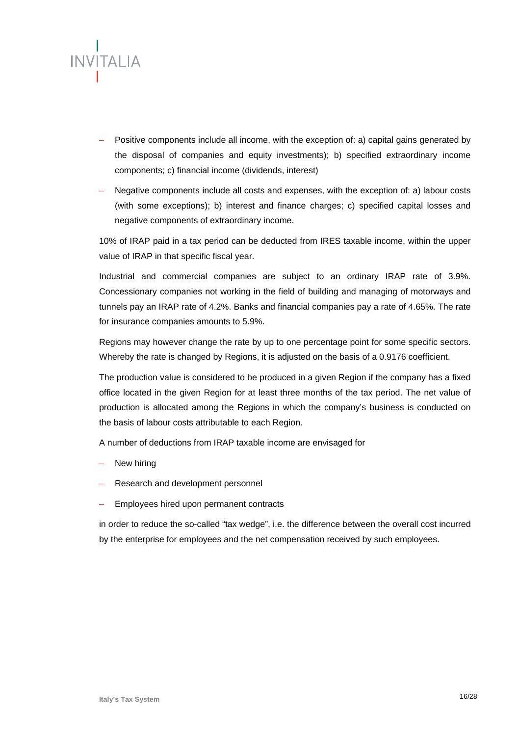

- Positive components include all income, with the exception of: a) capital gains generated by the disposal of companies and equity investments); b) specified extraordinary income components; c) financial income (dividends, interest)
- Negative components include all costs and expenses, with the exception of: a) labour costs (with some exceptions); b) interest and finance charges; c) specified capital losses and negative components of extraordinary income.

10% of IRAP paid in a tax period can be deducted from IRES taxable income, within the upper value of IRAP in that specific fiscal year.

Industrial and commercial companies are subject to an ordinary IRAP rate of 3.9%. Concessionary companies not working in the field of building and managing of motorways and tunnels pay an IRAP rate of 4.2%. Banks and financial companies pay a rate of 4.65%. The rate for insurance companies amounts to 5.9%.

Regions may however change the rate by up to one percentage point for some specific sectors. Whereby the rate is changed by Regions, it is adjusted on the basis of a 0.9176 coefficient.

The production value is considered to be produced in a given Region if the company has a fixed office located in the given Region for at least three months of the tax period. The net value of production is allocated among the Regions in which the company's business is conducted on the basis of labour costs attributable to each Region.

A number of deductions from IRAP taxable income are envisaged for

- New hiring
- Research and development personnel
- Employees hired upon permanent contracts

in order to reduce the so-called "tax wedge", i.e. the difference between the overall cost incurred by the enterprise for employees and the net compensation received by such employees.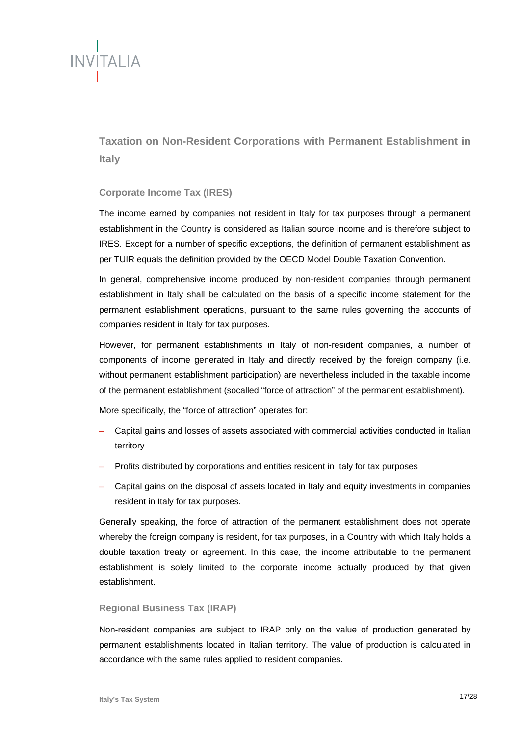

**Taxation on Non-Resident Corporations with Permanent Establishment in Italy** 

#### **Corporate Income Tax (IRES)**

The income earned by companies not resident in Italy for tax purposes through a permanent establishment in the Country is considered as Italian source income and is therefore subject to IRES. Except for a number of specific exceptions, the definition of permanent establishment as per TUIR equals the definition provided by the OECD Model Double Taxation Convention.

In general, comprehensive income produced by non-resident companies through permanent establishment in Italy shall be calculated on the basis of a specific income statement for the permanent establishment operations, pursuant to the same rules governing the accounts of companies resident in Italy for tax purposes.

However, for permanent establishments in Italy of non-resident companies, a number of components of income generated in Italy and directly received by the foreign company (i.e. without permanent establishment participation) are nevertheless included in the taxable income of the permanent establishment (socalled "force of attraction" of the permanent establishment).

More specifically, the "force of attraction" operates for:

- Capital gains and losses of assets associated with commercial activities conducted in Italian territory
- Profits distributed by corporations and entities resident in Italy for tax purposes
- Capital gains on the disposal of assets located in Italy and equity investments in companies resident in Italy for tax purposes.

Generally speaking, the force of attraction of the permanent establishment does not operate whereby the foreign company is resident, for tax purposes, in a Country with which Italy holds a double taxation treaty or agreement. In this case, the income attributable to the permanent establishment is solely limited to the corporate income actually produced by that given establishment.

#### **Regional Business Tax (IRAP)**

Non-resident companies are subject to IRAP only on the value of production generated by permanent establishments located in Italian territory. The value of production is calculated in accordance with the same rules applied to resident companies.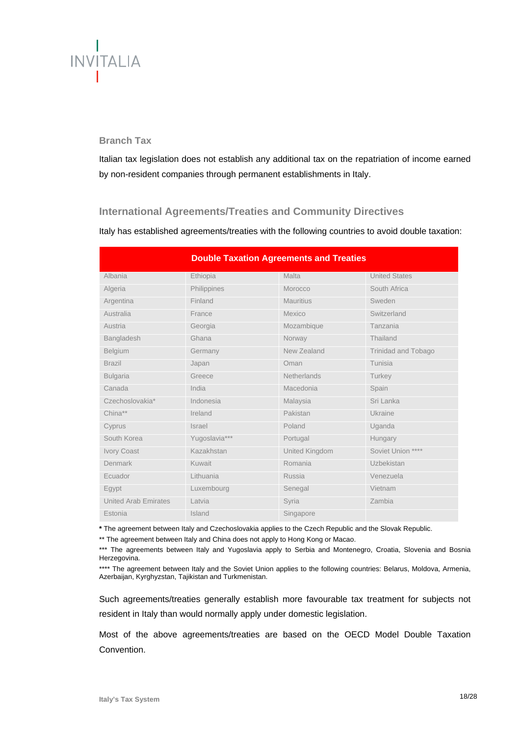# **INVITALIA**

## **Branch Tax**

Italian tax legislation does not establish any additional tax on the repatriation of income earned by non-resident companies through permanent establishments in Italy.

# **International Agreements/Treaties and Community Directives**

Italy has established agreements/treaties with the following countries to avoid double taxation:

| <b>Double Taxation Agreements and Treaties</b> |               |                  |                            |  |
|------------------------------------------------|---------------|------------------|----------------------------|--|
| Albania                                        | Ethiopia      | Malta            | <b>United States</b>       |  |
| Algeria                                        | Philippines   | Morocco          | South Africa               |  |
| Argentina                                      | Finland       | <b>Mauritius</b> | Sweden                     |  |
| Australia                                      | France        | Mexico           | Switzerland                |  |
| Austria                                        | Georgia       | Mozambique       | Tanzania                   |  |
| Bangladesh                                     | Ghana         | Norway           | Thailand                   |  |
| <b>Belgium</b>                                 | Germany       | New Zealand      | <b>Trinidad and Tobago</b> |  |
| <b>Brazil</b>                                  | Japan         | Oman             | Tunisia                    |  |
| <b>Bulgaria</b>                                | Greece        | Netherlands      | Turkey                     |  |
| Canada                                         | India         | Macedonia        | Spain                      |  |
| Czechoslovakia*                                | Indonesia     | Malaysia         | Sri Lanka                  |  |
| China**                                        | Ireland       | Pakistan         | Ukraine                    |  |
| Cyprus                                         | Israel        | Poland           | Uganda                     |  |
| South Korea                                    | Yugoslavia*** | Portugal         | Hungary                    |  |
| Ivory Coast                                    | Kazakhstan    | United Kingdom   | Soviet Union ****          |  |
| Denmark                                        | Kuwait        | Romania          | Uzbekistan                 |  |
| Ecuador                                        | Lithuania     | Russia           | Venezuela                  |  |
| Egypt                                          | Luxembourg    | Senegal          | Vietnam                    |  |
| <b>United Arab Emirates</b>                    | Latvia        | Syria            | Zambia                     |  |
| Estonia                                        | Island        | Singapore        |                            |  |

**\*** The agreement between Italy and Czechoslovakia applies to the Czech Republic and the Slovak Republic.

\*\* The agreement between Italy and China does not apply to Hong Kong or Macao.

\*\*\* The agreements between Italy and Yugoslavia apply to Serbia and Montenegro, Croatia, Slovenia and Bosnia Herzegovina.

\*\*\*\* The agreement between Italy and the Soviet Union applies to the following countries: Belarus, Moldova, Armenia, Azerbaijan, Kyrghyzstan, Tajikistan and Turkmenistan.

Such agreements/treaties generally establish more favourable tax treatment for subjects not resident in Italy than would normally apply under domestic legislation.

Most of the above agreements/treaties are based on the OECD Model Double Taxation Convention.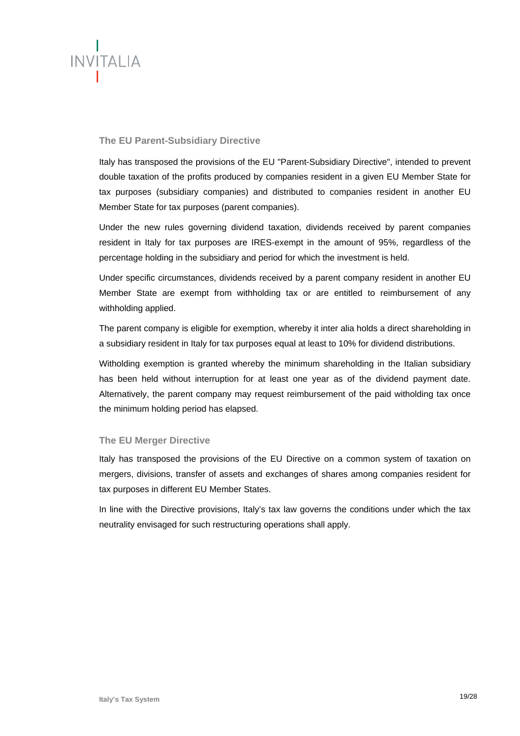

# **The EU Parent-Subsidiary Directive**

Italy has transposed the provisions of the EU "Parent-Subsidiary Directive", intended to prevent double taxation of the profits produced by companies resident in a given EU Member State for tax purposes (subsidiary companies) and distributed to companies resident in another EU Member State for tax purposes (parent companies).

Under the new rules governing dividend taxation, dividends received by parent companies resident in Italy for tax purposes are IRES-exempt in the amount of 95%, regardless of the percentage holding in the subsidiary and period for which the investment is held.

Under specific circumstances, dividends received by a parent company resident in another EU Member State are exempt from withholding tax or are entitled to reimbursement of any withholding applied.

The parent company is eligible for exemption, whereby it inter alia holds a direct shareholding in a subsidiary resident in Italy for tax purposes equal at least to 10% for dividend distributions.

Witholding exemption is granted whereby the minimum shareholding in the Italian subsidiary has been held without interruption for at least one year as of the dividend payment date. Alternatively, the parent company may request reimbursement of the paid witholding tax once the minimum holding period has elapsed.

#### **The EU Merger Directive**

Italy has transposed the provisions of the EU Directive on a common system of taxation on mergers, divisions, transfer of assets and exchanges of shares among companies resident for tax purposes in different EU Member States.

In line with the Directive provisions, Italy's tax law governs the conditions under which the tax neutrality envisaged for such restructuring operations shall apply.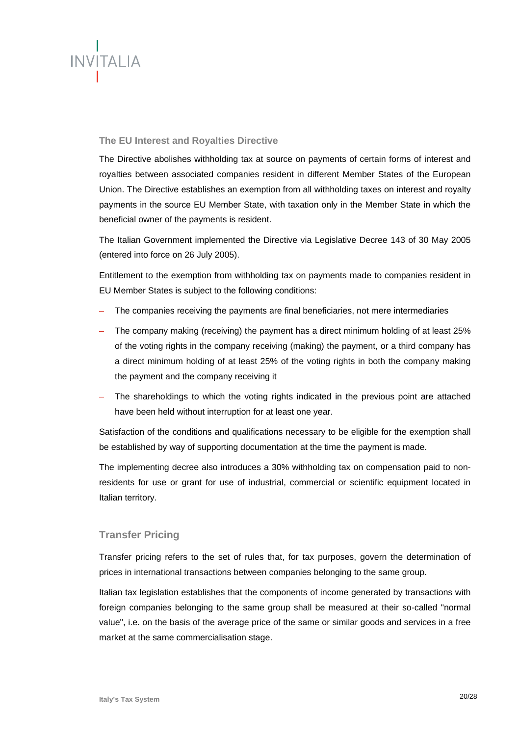

# **The EU Interest and Royalties Directive**

The Directive abolishes withholding tax at source on payments of certain forms of interest and royalties between associated companies resident in different Member States of the European Union. The Directive establishes an exemption from all withholding taxes on interest and royalty payments in the source EU Member State, with taxation only in the Member State in which the beneficial owner of the payments is resident.

The Italian Government implemented the Directive via Legislative Decree 143 of 30 May 2005 (entered into force on 26 July 2005).

Entitlement to the exemption from withholding tax on payments made to companies resident in EU Member States is subject to the following conditions:

- The companies receiving the payments are final beneficiaries, not mere intermediaries
- The company making (receiving) the payment has a direct minimum holding of at least 25% of the voting rights in the company receiving (making) the payment, or a third company has a direct minimum holding of at least 25% of the voting rights in both the company making the payment and the company receiving it
- The shareholdings to which the voting rights indicated in the previous point are attached have been held without interruption for at least one year.

Satisfaction of the conditions and qualifications necessary to be eligible for the exemption shall be established by way of supporting documentation at the time the payment is made.

The implementing decree also introduces a 30% withholding tax on compensation paid to nonresidents for use or grant for use of industrial, commercial or scientific equipment located in Italian territory.

# **Transfer Pricing**

Transfer pricing refers to the set of rules that, for tax purposes, govern the determination of prices in international transactions between companies belonging to the same group.

Italian tax legislation establishes that the components of income generated by transactions with foreign companies belonging to the same group shall be measured at their so-called "normal value", i.e. on the basis of the average price of the same or similar goods and services in a free market at the same commercialisation stage.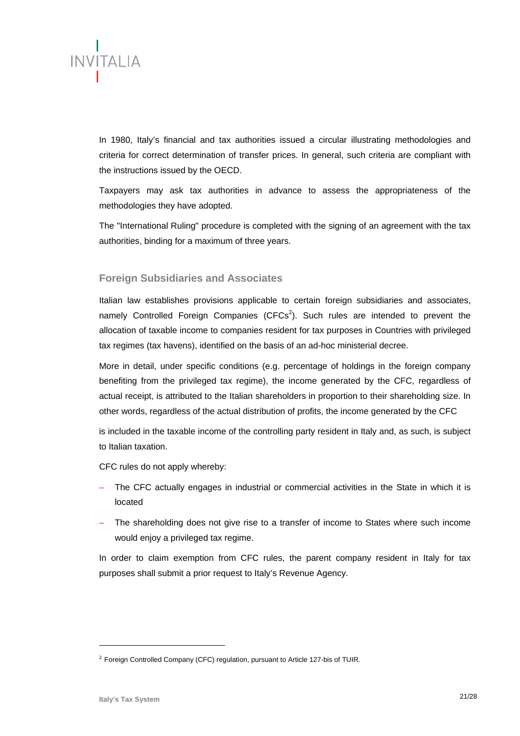

In 1980, Italy's financial and tax authorities issued a circular illustrating methodologies and criteria for correct determination of transfer prices. In general, such criteria are compliant with the instructions issued by the OECD.

Taxpayers may ask tax authorities in advance to assess the appropriateness of the methodologies they have adopted.

The "International Ruling" procedure is completed with the signing of an agreement with the tax authorities, binding for a maximum of three years.

# **Foreign Subsidiaries and Associates**

Italian law establishes provisions applicable to certain foreign subsidiaries and associates, namely Controlled Foreign Companies (CFCs<sup>2</sup>). Such rules are intended to prevent the allocation of taxable income to companies resident for tax purposes in Countries with privileged tax regimes (tax havens), identified on the basis of an ad-hoc ministerial decree.

More in detail, under specific conditions (e.g. percentage of holdings in the foreign company benefiting from the privileged tax regime), the income generated by the CFC, regardless of actual receipt, is attributed to the Italian shareholders in proportion to their shareholding size. In other words, regardless of the actual distribution of profits, the income generated by the CFC

is included in the taxable income of the controlling party resident in Italy and, as such, is subject to Italian taxation.

CFC rules do not apply whereby:

- The CFC actually engages in industrial or commercial activities in the State in which it is located
- The shareholding does not give rise to a transfer of income to States where such income would enjoy a privileged tax regime.

In order to claim exemption from CFC rules, the parent company resident in Italy for tax purposes shall submit a prior request to Italy's Revenue Agency.

1

<sup>&</sup>lt;sup>2</sup> Foreign Controlled Company (CFC) regulation, pursuant to Article 127-bis of TUIR.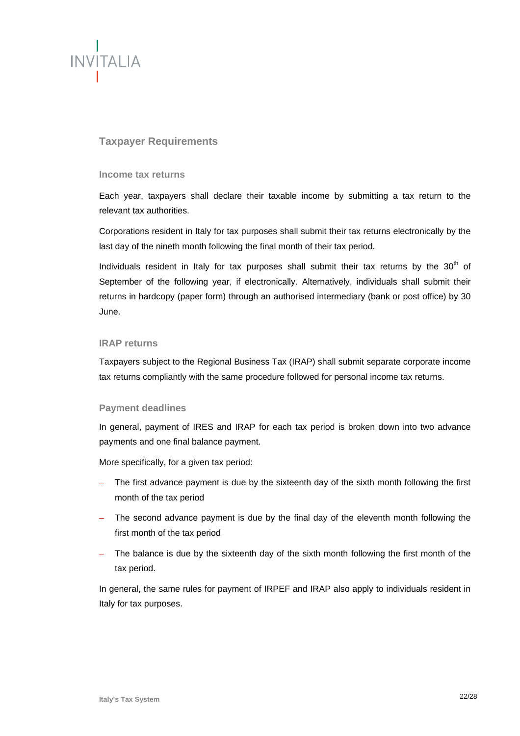

# **Taxpayer Requirements**

#### **Income tax returns**

Each year, taxpayers shall declare their taxable income by submitting a tax return to the relevant tax authorities.

Corporations resident in Italy for tax purposes shall submit their tax returns electronically by the last day of the nineth month following the final month of their tax period.

Individuals resident in Italy for tax purposes shall submit their tax returns by the  $30<sup>th</sup>$  of September of the following year, if electronically. Alternatively, individuals shall submit their returns in hardcopy (paper form) through an authorised intermediary (bank or post office) by 30 June.

#### **IRAP returns**

Taxpayers subject to the Regional Business Tax (IRAP) shall submit separate corporate income tax returns compliantly with the same procedure followed for personal income tax returns.

#### **Payment deadlines**

In general, payment of IRES and IRAP for each tax period is broken down into two advance payments and one final balance payment.

More specifically, for a given tax period:

- The first advance payment is due by the sixteenth day of the sixth month following the first month of the tax period
- The second advance payment is due by the final day of the eleventh month following the first month of the tax period
- The balance is due by the sixteenth day of the sixth month following the first month of the tax period.

In general, the same rules for payment of IRPEF and IRAP also apply to individuals resident in Italy for tax purposes.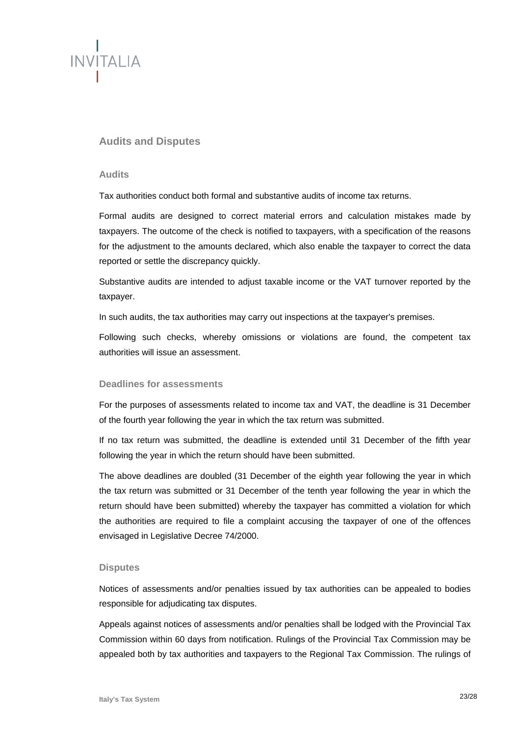

# **Audits and Disputes**

#### **Audits**

Tax authorities conduct both formal and substantive audits of income tax returns.

Formal audits are designed to correct material errors and calculation mistakes made by taxpayers. The outcome of the check is notified to taxpayers, with a specification of the reasons for the adjustment to the amounts declared, which also enable the taxpayer to correct the data reported or settle the discrepancy quickly.

Substantive audits are intended to adjust taxable income or the VAT turnover reported by the taxpayer.

In such audits, the tax authorities may carry out inspections at the taxpayer's premises.

Following such checks, whereby omissions or violations are found, the competent tax authorities will issue an assessment.

#### **Deadlines for assessments**

For the purposes of assessments related to income tax and VAT, the deadline is 31 December of the fourth year following the year in which the tax return was submitted.

If no tax return was submitted, the deadline is extended until 31 December of the fifth year following the year in which the return should have been submitted.

The above deadlines are doubled (31 December of the eighth year following the year in which the tax return was submitted or 31 December of the tenth year following the year in which the return should have been submitted) whereby the taxpayer has committed a violation for which the authorities are required to file a complaint accusing the taxpayer of one of the offences envisaged in Legislative Decree 74/2000.

#### **Disputes**

Notices of assessments and/or penalties issued by tax authorities can be appealed to bodies responsible for adjudicating tax disputes.

Appeals against notices of assessments and/or penalties shall be lodged with the Provincial Tax Commission within 60 days from notification. Rulings of the Provincial Tax Commission may be appealed both by tax authorities and taxpayers to the Regional Tax Commission. The rulings of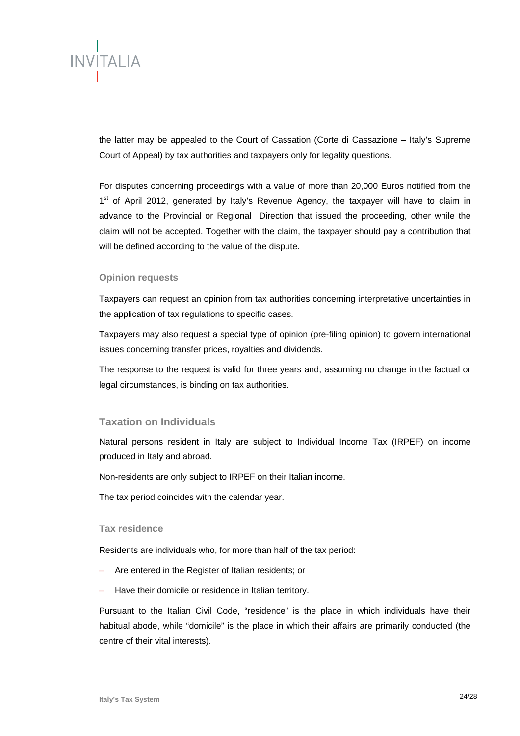

the latter may be appealed to the Court of Cassation (Corte di Cassazione – Italy's Supreme Court of Appeal) by tax authorities and taxpayers only for legality questions.

For disputes concerning proceedings with a value of more than 20,000 Euros notified from the 1<sup>st</sup> of April 2012, generated by Italy's Revenue Agency, the taxpayer will have to claim in advance to the Provincial or Regional Direction that issued the proceeding, other while the claim will not be accepted. Together with the claim, the taxpayer should pay a contribution that will be defined according to the value of the dispute.

#### **Opinion requests**

Taxpayers can request an opinion from tax authorities concerning interpretative uncertainties in the application of tax regulations to specific cases.

Taxpayers may also request a special type of opinion (pre-filing opinion) to govern international issues concerning transfer prices, royalties and dividends.

The response to the request is valid for three years and, assuming no change in the factual or legal circumstances, is binding on tax authorities.

#### **Taxation on Individuals**

Natural persons resident in Italy are subject to Individual Income Tax (IRPEF) on income produced in Italy and abroad.

Non-residents are only subject to IRPEF on their Italian income.

The tax period coincides with the calendar year.

#### **Tax residence**

Residents are individuals who, for more than half of the tax period:

- Are entered in the Register of Italian residents; or
- Have their domicile or residence in Italian territory.

Pursuant to the Italian Civil Code, "residence" is the place in which individuals have their habitual abode, while "domicile" is the place in which their affairs are primarily conducted (the centre of their vital interests).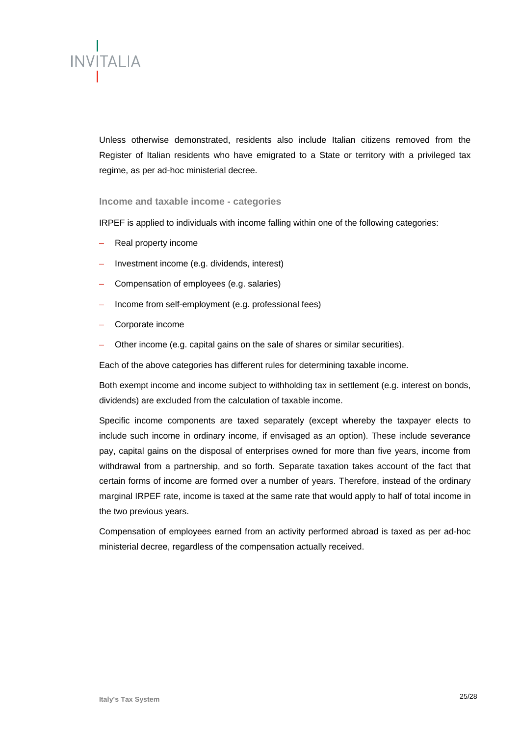

Unless otherwise demonstrated, residents also include Italian citizens removed from the Register of Italian residents who have emigrated to a State or territory with a privileged tax regime, as per ad-hoc ministerial decree.

#### **Income and taxable income - categories**

IRPEF is applied to individuals with income falling within one of the following categories:

- Real property income
- Investment income (e.g. dividends, interest)
- Compensation of employees (e.g. salaries)
- Income from self-employment (e.g. professional fees)
- Corporate income
- Other income (e.g. capital gains on the sale of shares or similar securities).

Each of the above categories has different rules for determining taxable income.

Both exempt income and income subject to withholding tax in settlement (e.g. interest on bonds, dividends) are excluded from the calculation of taxable income.

Specific income components are taxed separately (except whereby the taxpayer elects to include such income in ordinary income, if envisaged as an option). These include severance pay, capital gains on the disposal of enterprises owned for more than five years, income from withdrawal from a partnership, and so forth. Separate taxation takes account of the fact that certain forms of income are formed over a number of years. Therefore, instead of the ordinary marginal IRPEF rate, income is taxed at the same rate that would apply to half of total income in the two previous years.

Compensation of employees earned from an activity performed abroad is taxed as per ad-hoc ministerial decree, regardless of the compensation actually received.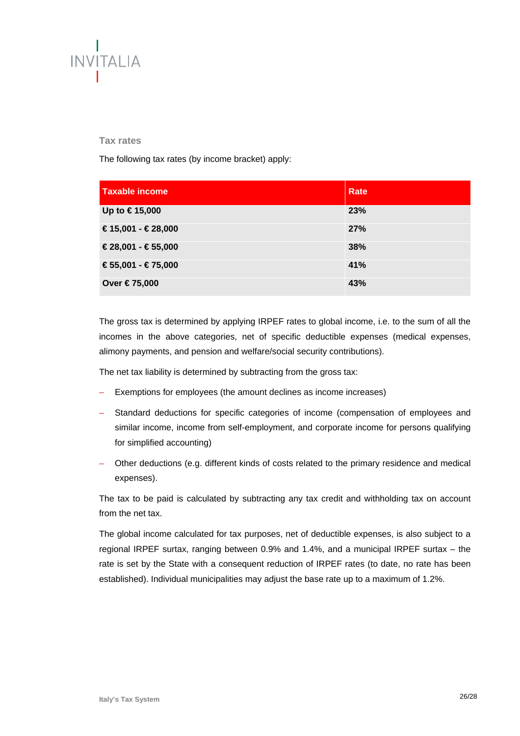

#### **Tax rates**

The following tax rates (by income bracket) apply:

| <b>Taxable income</b> | Rate |
|-----------------------|------|
| Up to €15,000         | 23%  |
| €15,001 - €28,000     | 27%  |
| €28,001 - €55,000     | 38%  |
| $€55,001 - €75,000$   | 41%  |
| Over €75,000          | 43%  |

The gross tax is determined by applying IRPEF rates to global income, i.e. to the sum of all the incomes in the above categories, net of specific deductible expenses (medical expenses, alimony payments, and pension and welfare/social security contributions).

The net tax liability is determined by subtracting from the gross tax:

- Exemptions for employees (the amount declines as income increases)
- Standard deductions for specific categories of income (compensation of employees and similar income, income from self-employment, and corporate income for persons qualifying for simplified accounting)
- Other deductions (e.g. different kinds of costs related to the primary residence and medical expenses).

The tax to be paid is calculated by subtracting any tax credit and withholding tax on account from the net tax.

The global income calculated for tax purposes, net of deductible expenses, is also subject to a regional IRPEF surtax, ranging between 0.9% and 1.4%, and a municipal IRPEF surtax – the rate is set by the State with a consequent reduction of IRPEF rates (to date, no rate has been established). Individual municipalities may adjust the base rate up to a maximum of 1.2%.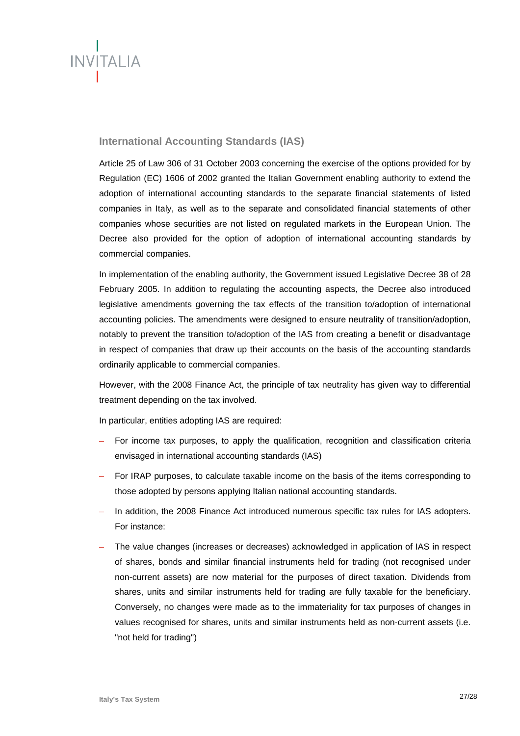

# **International Accounting Standards (IAS)**

Article 25 of Law 306 of 31 October 2003 concerning the exercise of the options provided for by Regulation (EC) 1606 of 2002 granted the Italian Government enabling authority to extend the adoption of international accounting standards to the separate financial statements of listed companies in Italy, as well as to the separate and consolidated financial statements of other companies whose securities are not listed on regulated markets in the European Union. The Decree also provided for the option of adoption of international accounting standards by commercial companies.

In implementation of the enabling authority, the Government issued Legislative Decree 38 of 28 February 2005. In addition to regulating the accounting aspects, the Decree also introduced legislative amendments governing the tax effects of the transition to/adoption of international accounting policies. The amendments were designed to ensure neutrality of transition/adoption, notably to prevent the transition to/adoption of the IAS from creating a benefit or disadvantage in respect of companies that draw up their accounts on the basis of the accounting standards ordinarily applicable to commercial companies.

However, with the 2008 Finance Act, the principle of tax neutrality has given way to differential treatment depending on the tax involved.

In particular, entities adopting IAS are required:

- For income tax purposes, to apply the qualification, recognition and classification criteria envisaged in international accounting standards (IAS)
- For IRAP purposes, to calculate taxable income on the basis of the items corresponding to those adopted by persons applying Italian national accounting standards.
- In addition, the 2008 Finance Act introduced numerous specific tax rules for IAS adopters. For instance:
- The value changes (increases or decreases) acknowledged in application of IAS in respect of shares, bonds and similar financial instruments held for trading (not recognised under non-current assets) are now material for the purposes of direct taxation. Dividends from shares, units and similar instruments held for trading are fully taxable for the beneficiary. Conversely, no changes were made as to the immateriality for tax purposes of changes in values recognised for shares, units and similar instruments held as non-current assets (i.e. "not held for trading")